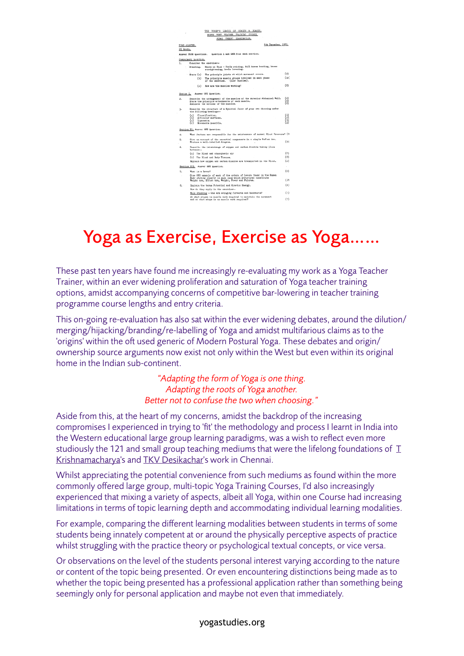

# Yoga as Exercise, Exercise as Yoga……

These past ten years have found me increasingly re-evaluating my work as a Yoga Teacher Trainer, within an ever widening proliferation and saturation of Yoga teacher training options, amidst accompanying concerns of competitive bar-lowering in teacher training programme course lengths and entry criteria.

This on-going re-evaluation has also sat within the ever widening debates, around the dilution/ merging/hijacking/branding/re-labelling of Yoga and amidst multifarious claims as to the 'origins' within the oft used generic of Modern Postural Yoga. These debates and origin/ ownership source arguments now exist not only within the West but even within its original home in the Indian sub-continent.

> *"Adapting the form of Yoga is one thing. Adapting the roots of Yoga another. Better not to confuse the two when choosing."*

Aside from this, at the heart of my concerns, amidst the backdrop of the increasing compromises I experienced in trying to 'fit' the methodology and process I learnt in India into the Western educational large group learning paradigms, was a wish to reflect even more studiously the 121 and small group teaching mediums that were the lifelong foundations of  $I$ [Krishnamacharya](http://www.yogastudies.org/cys-journal/t-krishnamacharya/)'s and [TKV Desikachar](http://www.yogastudies.org/cys-journal/tkv-desikachar/)'s work in Chennai.

Whilst appreciating the potential convenience from such mediums as found within the more commonly offered large group, multi-topic Yoga Training Courses, I'd also increasingly experienced that mixing a variety of aspects, albeit all Yoga, within one Course had increasing limitations in terms of topic learning depth and accommodating individual learning modalities.

For example, comparing the different learning modalities between students in terms of some students being innately competent at or around the physically perceptive aspects of practice whilst struggling with the practice theory or psychological textual concepts, or vice versa.

Or observations on the level of the students personal interest varying according to the nature or content of the topic being presented. Or even encountering distinctions being made as to whether the topic being presented has a professional application rather than something being seemingly only for personal application and maybe not even that immediately.

#### yogastudies.org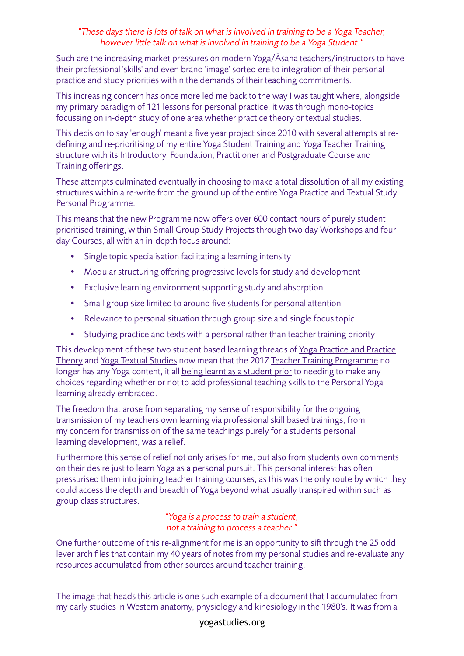## *"These days there is lots of talk on what is involved in training to be a Yoga Teacher, however little talk on what is involved in training to be a Yoga Student."*

Such are the increasing market pressures on modern Yoga/Āsana teachers/instructors to have their professional 'skills' and even brand 'image' sorted ere to integration of their personal practice and study priorities within the demands of their teaching commitments.

This increasing concern has once more led me back to the way I was taught where, alongside my primary paradigm of 121 lessons for personal practice, it was through mono-topics focussing on in-depth study of one area whether practice theory or textual studies.

This decision to say 'enough' meant a five year project since 2010 with several attempts at redefining and re-prioritising of my entire Yoga Student Training and Yoga Teacher Training structure with its Introductory, Foundation, Practitioner and Postgraduate Course and Training offerings.

These attempts culminated eventually in choosing to make a total dissolution of all my existing structures within a re-write from the ground up of the entire Yoga Practice and Textual Study [Personal Programme](http://www.yogastudies.org/art-personal-sadhana-overview/).

This means that the new Programme now offers over 600 contact hours of purely student prioritised training, within Small Group Study Projects through two day Workshops and four day Courses, all with an in-depth focus around:

- Single topic specialisation facilitating a learning intensity
- Modular structuring offering progressive levels for study and development
- Exclusive learning environment supporting study and absorption
- Small group size limited to around five students for personal attention
- Relevance to personal situation through group size and single focus topic
- Studying practice and texts with a personal rather than teacher training priority

This development of these two student based learning threads of [Yoga Practice and Practice](http://www.yogastudies.org/art-personal-sadhana-overview/teachers-training/art-viniyoga-yoga-personal-sadhana-workshop-course-modules/)  [Theory](http://www.yogastudies.org/art-personal-sadhana-overview/teachers-training/art-viniyoga-yoga-personal-sadhana-workshop-course-modules/) and [Yoga Textual Studies](http://www.yogastudies.org/art-personal-sadhana-overview/teachers-training/associated-yoga-texts-overview/) now mean that the 2017 Teacher [Training Programme](http://www.yogastudies.org/art-personal-sadhana-overview/teachers-training/art-of-individual-yoga-lessons-practitioner-programme/) no longer has any Yoga content, it all [being learnt as a student prior](http://www.yogastudies.org/art-personal-sadhana-overview/teachers-training/welcome-to-the-art-of-professional-studies-121-practitioner-prerequisites/) to needing to make any choices regarding whether or not to add professional teaching skills to the Personal Yoga learning already embraced.

The freedom that arose from separating my sense of responsibility for the ongoing transmission of my teachers own learning via professional skill based trainings, from my concern for transmission of the same teachings purely for a students personal learning development, was a relief.

Furthermore this sense of relief not only arises for me, but also from students own comments on their desire just to learn Yoga as a personal pursuit. This personal interest has ofen pressurised them into joining teacher training courses, as this was the only route by which they could access the depth and breadth of Yoga beyond what usually transpired within such as group class structures.

### *"Yoga is a process to train a student, not a training to process a teacher."*

One further outcome of this re-alignment for me is an opportunity to sift through the 25 odd lever arch files that contain my 40 years of notes from my personal studies and re-evaluate any resources accumulated from other sources around teacher training.

The image that heads this article is one such example of a document that I accumulated from my early studies in Western anatomy, physiology and kinesiology in the 1980's. It was from a

### yogastudies.org